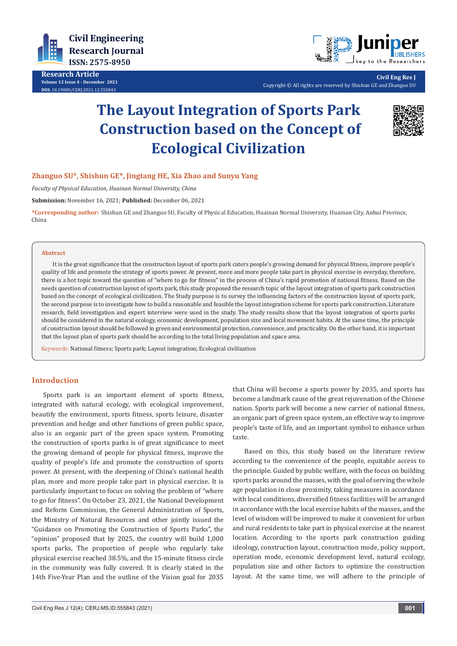

**Research Article Volume 12 Issue 4 - December 2021 DOI:** [10.19080/CERJ.2021.12.55584](http://dx.doi.org/10.19080/CERJ.2021.12.555843)3



**Civil Eng Res J** Copyright © All rights are reserved by Shishun GE and Zhanguo SU

# **The Layout Integration of Sports Park Construction based on the Concept of Ecological Civilization**



## **Zhanguo SU\*, Shishun GE\*, Jingtang HE, Xia Zhao and Sunyu Yang**

*Faculty of Physical Education, Huainan Normal University, China*

**Submission:** November 16, 2021; **Published:** December 06, 2021

**\*Corresponding author:** Shishun GE and Zhanguo SU, Faculty of Physical Education, Huainan Normal University, Huainan City, Anhui Province, China

#### **Abstract**

It is the great significance that the construction layout of sports park caters people's growing demand for physical fitness, improve people's quality of life and promote the strategy of sports power. At present, more and more people take part in physical exercise in everyday, therefore, there is a hot topic toward the question of "where to go for fitness" in the process of China's rapid promotion of national fitness. Based on the needs question of construction layout of sports park, this study proposed the research topic of the layout integration of sports park construction based on the concept of ecological civilization. The Study purpose is to survey the influencing factors of the construction layout of sports park, the second purpose is to investigate how to build a reasonable and feasible the layout integration scheme for sports park construction. Literature research, field investigation and expert interview were used in the study. The study results show that the layout integration of sports parks should be considered in the natural ecology, economic development, population size and local movement habits. At the same time, the principle of construction layout should be followed in green and environmental protection, convenience, and practicality. On the other hand, it is important that the layout plan of sports park should be according to the total living population and space area.

Keywords: National fitness; Sports park; Layout integration; Ecological civilization

## **Introduction**

Sports park is an important element of sports fitness, integrated with natural ecology, with ecological improvement, beautify the environment, sports fitness, sports leisure, disaster prevention and hedge and other functions of green public space, also is an organic part of the green space system. Promoting the construction of sports parks is of great significance to meet the growing demand of people for physical fitness, improve the quality of people's life and promote the construction of sports power. At present, with the deepening of China's national health plan, more and more people take part in physical exercise. It is particularly important to focus on solving the problem of "where to go for fitness". On October 23, 2021, the National Development and Reform Commission, the General Administration of Sports, the Ministry of Natural Resources and other jointly issued the "Guidance on Promoting the Construction of Sports Parks", the "opinion" proposed that by 2025, the country will build 1,000 sports parks, The proportion of people who regularly take physical exercise reached 38.5%, and the 15-minute fitness circle in the community was fully covered. It is clearly stated in the 14th Five-Year Plan and the outline of the Vision goal for 2035

that China will become a sports power by 2035, and sports has become a landmark cause of the great rejuvenation of the Chinese nation. Sports park will become a new carrier of national fitness, an organic part of green space system, an effective way to improve people's taste of life, and an important symbol to enhance urban taste.

Based on this, this study based on the literature review according to the convenience of the people, equitable access to the principle. Guided by public welfare, with the focus on building sports parks around the masses, with the goal of serving the whole age population in close proximity, taking measures in accordance with local conditions, diversified fitness facilities will be arranged in accordance with the local exercise habits of the masses, and the level of wisdom will be improved to make it convenient for urban and rural residents to take part in physical exercise at the nearest location. According to the sports park construction guiding ideology, construction layout, construction mode, policy support, operation mode, economic development level, natural ecology, population size and other factors to optimize the construction layout. At the same time, we will adhere to the principle of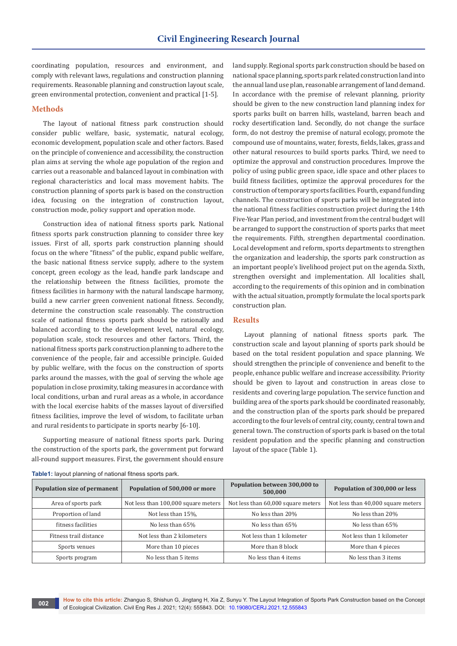coordinating population, resources and environment, and comply with relevant laws, regulations and construction planning requirements. Reasonable planning and construction layout scale, green environmental protection, convenient and practical [1-5].

### **Methods**

The layout of national fitness park construction should consider public welfare, basic, systematic, natural ecology, economic development, population scale and other factors. Based on the principle of convenience and accessibility, the construction plan aims at serving the whole age population of the region and carries out a reasonable and balanced layout in combination with regional characteristics and local mass movement habits. The construction planning of sports park is based on the construction idea, focusing on the integration of construction layout, construction mode, policy support and operation mode.

Construction idea of national fitness sports park. National fitness sports park construction planning to consider three key issues. First of all, sports park construction planning should focus on the where "fitness" of the public, expand public welfare, the basic national fitness service supply, adhere to the system concept, green ecology as the lead, handle park landscape and the relationship between the fitness facilities, promote the fitness facilities in harmony with the natural landscape harmony, build a new carrier green convenient national fitness. Secondly, determine the construction scale reasonably. The construction scale of national fitness sports park should be rationally and balanced according to the development level, natural ecology, population scale, stock resources and other factors. Third, the national fitness sports park construction planning to adhere to the convenience of the people, fair and accessible principle. Guided by public welfare, with the focus on the construction of sports parks around the masses, with the goal of serving the whole age population in close proximity, taking measures in accordance with local conditions, urban and rural areas as a whole, in accordance with the local exercise habits of the masses layout of diversified fitness facilities, improve the level of wisdom, to facilitate urban and rural residents to participate in sports nearby [6-10].

Supporting measure of national fitness sports park. During the construction of the sports park, the government put forward all-round support measures. First, the government should ensure

land supply. Regional sports park construction should be based on national space planning, sports park related construction land into the annual land use plan, reasonable arrangement of land demand. In accordance with the premise of relevant planning, priority should be given to the new construction land planning index for sports parks built on barren hills, wasteland, barren beach and rocky desertification land. Secondly, do not change the surface form, do not destroy the premise of natural ecology, promote the compound use of mountains, water, forests, fields, lakes, grass and other natural resources to build sports parks. Third, we need to optimize the approval and construction procedures. Improve the policy of using public green space, idle space and other places to build fitness facilities, optimize the approval procedures for the construction of temporary sports facilities. Fourth, expand funding channels. The construction of sports parks will be integrated into the national fitness facilities construction project during the 14th Five-Year Plan period, and investment from the central budget will be arranged to support the construction of sports parks that meet the requirements. Fifth, strengthen departmental coordination. Local development and reform, sports departments to strengthen the organization and leadership, the sports park construction as an important people's livelihood project put on the agenda. Sixth, strengthen oversight and implementation. All localities shall, according to the requirements of this opinion and in combination with the actual situation, promptly formulate the local sports park construction plan.

### **Results**

Layout planning of national fitness sports park. The construction scale and layout planning of sports park should be based on the total resident population and space planning. We should strengthen the principle of convenience and benefit to the people, enhance public welfare and increase accessibility. Priority should be given to layout and construction in areas close to residents and covering large population. The service function and building area of the sports park should be coordinated reasonably, and the construction plan of the sports park should be prepared according to the four levels of central city, county, central town and general town. The construction of sports park is based on the total resident population and the specific planning and construction layout of the space (Table 1).

| Population size of permanent | Population of 500,000 or more       | Population between 300,000 to<br>500,000 | Population of 300,000 or less      |
|------------------------------|-------------------------------------|------------------------------------------|------------------------------------|
| Area of sports park          | Not less than 100,000 square meters | Not less than 60,000 square meters       | Not less than 40,000 square meters |
| Proportion of land           | Not less than 15%.                  | No less than 20%                         | No less than 20%                   |
| fitness facilities           | No less than 65%                    | No less than 65%                         | No less than 65%                   |
| Fitness trail distance       | Not less than 2 kilometers          | Not less than 1 kilometer                | Not less than 1 kilometer          |
| Sports venues                | More than 10 pieces                 | More than 8 block                        | More than 4 pieces                 |
| Sports program               | No less than 5 items                | No less than 4 items                     | No less than 3 items               |

#### **Table1:** layout planning of national fitness sports park.